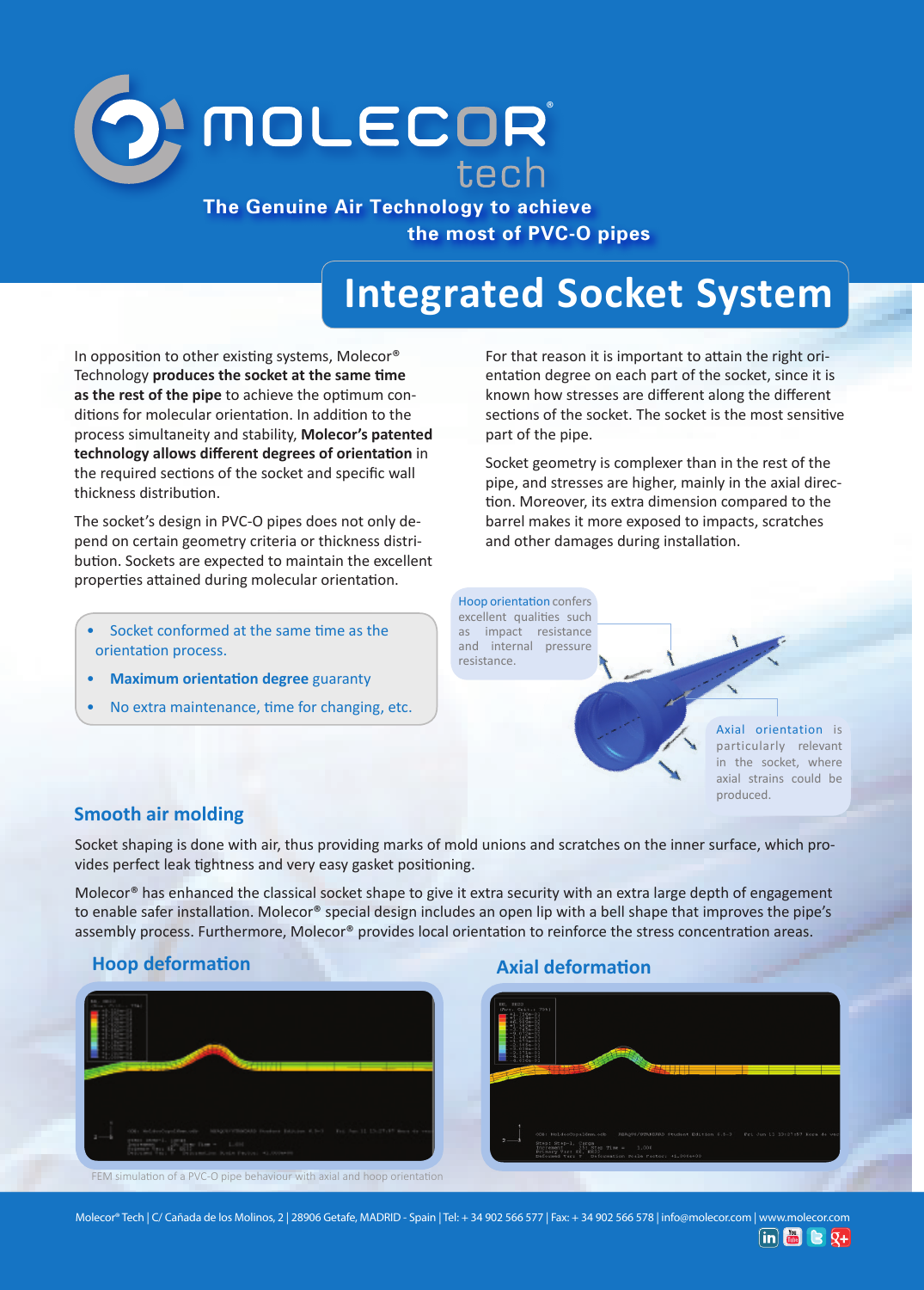

**The Genuine Air Technology to achieve the most of PVC-O pipes**

# **Integrated Socket System**

In opposition to other existing systems, Molecor® Technology **produces the socket at the same time as the rest of the pipe** to achieve the optimum conditions for molecular orientation. In addition to the process simultaneity and stability, **Molecor's patented technology allows different degrees of orientation** in the required sections of the socket and specific wall thickness distribution.

The socket's design in PVC-O pipes does not only depend on certain geometry criteria or thickness distribution. Sockets are expected to maintain the excellent properties attained during molecular orientation.

- Socket conformed at the same time as the orientation process.
- **Maximum orientation degree** guaranty
- No extra maintenance, time for changing, etc.

For that reason it is important to attain the right orientation degree on each part of the socket, since it is known how stresses are different along the different sections of the socket. The socket is the most sensitive part of the pipe.

Socket geometry is complexer than in the rest of the pipe, and stresses are higher, mainly in the axial direction. Moreover, its extra dimension compared to the barrel makes it more exposed to impacts, scratches and other damages during installation.

Hoop orientation confers excellent qualities such as impact resistance and internal pressure resistance.

> Axial orientation is particularly relevant in the socket, where axial strains could be produced.

### **Smooth air molding**

Socket shaping is done with air, thus providing marks of mold unions and scratches on the inner surface, which provides perfect leak tightness and very easy gasket positioning.

Molecor<sup>®</sup> has enhanced the classical socket shape to give it extra security with an extra large depth of engagement to enable safer installation. Molecor® special design includes an open lip with a bell shape that improves the pipe's assembly process. Furthermore, Molecor® provides local orientation to reinforce the stress concentration areas.

# FEM simulation of a PVC-O pipe behaviour with axial and hoop orientation

### **Hoop deformation Axial deformation**



Molecor® Tech | C/ Cañada de los Molinos, 2 | 28906 Getafe, MADRID - Spain | Tel: + 34 902 566 577 | Fax: + 34 902 566 578 | info@molecor.com | www.molecor.com